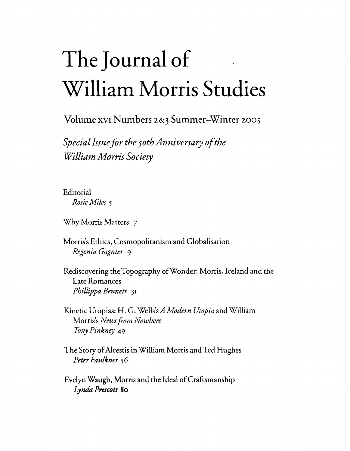## **The Journal of William Morris Studies**

Volume XVI Numbers 2&3 Summer-Winter 2005

*Special Issue for the 50th Anniversary of the William Morris Society*

Editorial *RosieMiles 5*

Why Morris Matters 7

Morris's Ethics, Cosmopolitanism and Globalisation *Regenia Gagnier* 9

Rediscovering the Topography ofWonder: Morris, Iceland and the Late Romances *Phillippa Bennett 31*

Kinetic Utopias: H. G. Wells's*A Modern Utopia* and William Morris's *Newsfrom Nowhere IOny Pinkney* 49

The Story of Alcestis in William Morris and Ted Hughes *Peter Faulkner 56*

Evelyn Waugh, Morris and the Ideal of Craftsmanship *Lynda Prescat» 80*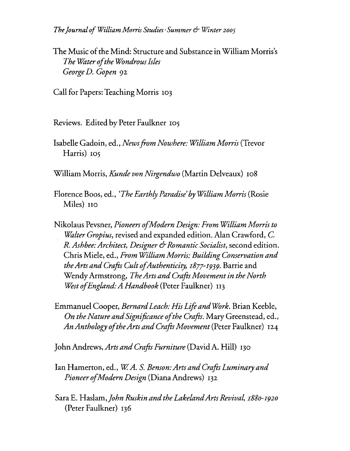*TheJournal ofWilliam Morris Studies- Summer*& *Winter2005*

The Music of the Mind: Structure and Substance in William Morris's *The'Water ofthe WondrousIsles George D. Gopen* 92

Call for Papers: Teaching Morris 103

Reviews. Edited by Peter Faulkner 105

Isabelle Gadoin, ed., *NewsfromNowhere: Wiltiam Morris* (Trevor Harris) 105

William Morris, *Kunde oon Nirgendwo* (Martin Delveaux) 108

Florence Boos, ed., *(The Earthly Paradise'by Witliam Morris* (Rosie Miles) Ho

Nikolaus Pevsner, *Pioneers ofModern Design: From WilliamMorris to 'WaIter Gropius,* revised and expanded edition. Alan Crawford, C. *R.Ashbee:Architect, Designer* 6-*Romantic Socialist,* second edition. Chris Miele, ed., *From William Morris: BuildingConservation and theArtsandCrafts CultofAuthenticity,* 1877-1939. Barrie and Wendy Armstrong, *The Arts and Crafts Movement in the North West of England: A Handbook* (Peter Faulkner) 113

Emmanue1 Cooper, *BernardLeach: HisLifeandWork.* Brian Keeble, *On the Nature and Significance of the Crafts.* Mary Greenstead, ed., *AnAnthology oftheArtsandCrafts Movement* (Peter Faulkner) 124

John Andrews, *Artsand Crafts Furniture* (David A. Hill) 130

lan Hamerton, ed., *W A.* S. *Benson:Artsand Crafts Luminaryand Pioneer ofModern Design* (Diana Andrews) <sup>132</sup>

Sara E. Haslam, John Ruskin and the Lakeland Arts Revival, 1880-1920 (Peter Faulkner) 136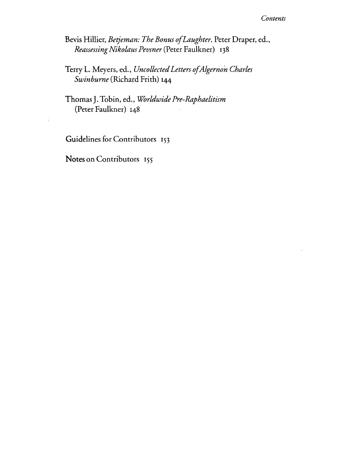## *Contents*

Bevis Hillier, *Betjeman: The Bonus ofLaughter.* Peter Draper, ed., *ReassessingNikolaus Pevsner* (Peter Faulkner) 138

Terry 1. Meyers, ed., *UncollectedLetters ofAlgernon Charles Swinburne* (Richard Frith) 144

Thomas}. Tobin, ed., *Worldwide Pre-Raphaelitism* (Peter Faulkner) 148

Guidelines for Contributors 153

**Notes** on Contributors 155

÷,